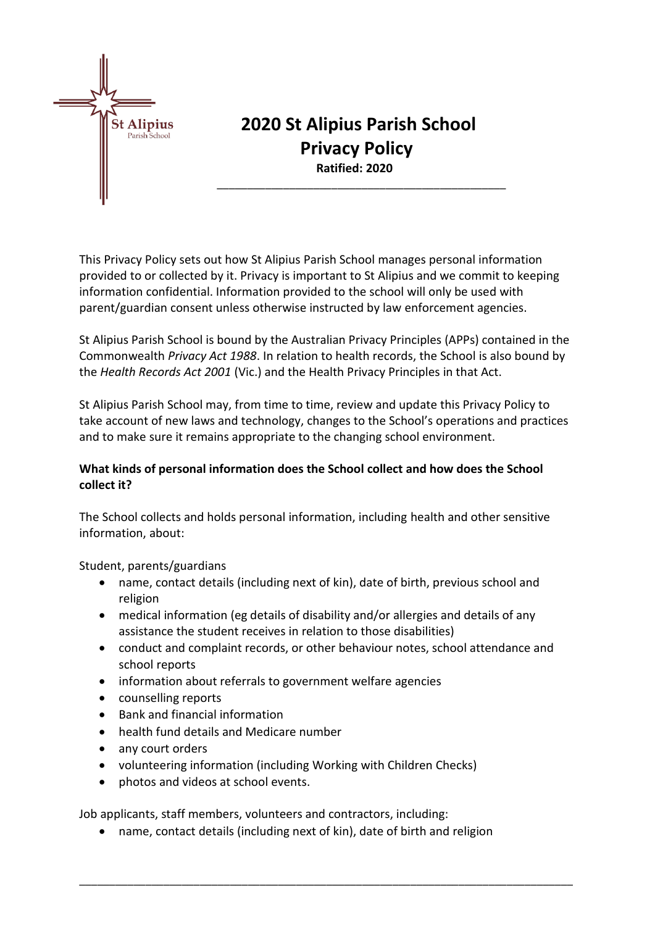

# **2020 St Alipius Parish School Privacy Policy Ratified: 2020**

\_\_\_\_\_\_\_\_\_\_\_\_\_\_\_\_\_\_\_\_\_\_\_\_\_\_\_\_\_\_\_\_\_\_\_\_\_\_\_\_\_\_\_\_\_\_\_\_

This Privacy Policy sets out how St Alipius Parish School manages personal information provided to or collected by it. Privacy is important to St Alipius and we commit to keeping information confidential. Information provided to the school will only be used with parent/guardian consent unless otherwise instructed by law enforcement agencies.

St Alipius Parish School is bound by the Australian Privacy Principles (APPs) contained in the Commonwealth *Privacy Act 1988*. In relation to health records, the School is also bound by the *Health Records Act 2001* (Vic.) and the Health Privacy Principles in that Act.

St Alipius Parish School may, from time to time, review and update this Privacy Policy to take account of new laws and technology, changes to the School's operations and practices and to make sure it remains appropriate to the changing school environment.

### **What kinds of personal information does the School collect and how does the School collect it?**

The School collects and holds personal information, including health and other sensitive information, about:

Student, parents/guardians

- name, contact details (including next of kin), date of birth, previous school and religion
- medical information (eg details of disability and/or allergies and details of any assistance the student receives in relation to those disabilities)
- conduct and complaint records, or other behaviour notes, school attendance and school reports
- information about referrals to government welfare agencies
- counselling reports
- Bank and financial information
- health fund details and Medicare number
- any court orders
- volunteering information (including Working with Children Checks)
- photos and videos at school events.

Job applicants, staff members, volunteers and contractors, including:

• name, contact details (including next of kin), date of birth and religion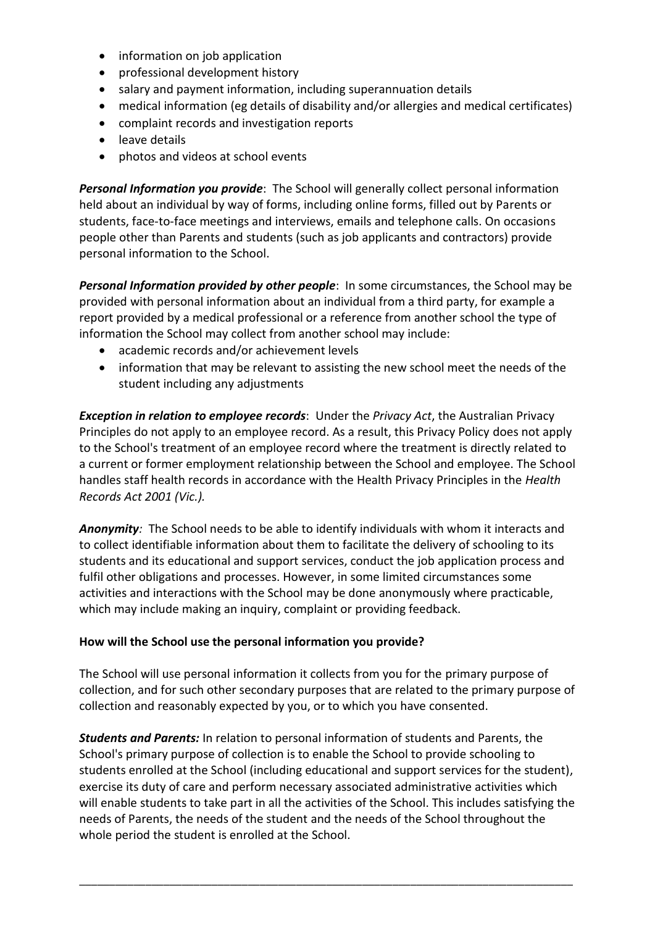- information on job application
- professional development history
- salary and payment information, including superannuation details
- medical information (eg details of disability and/or allergies and medical certificates)
- complaint records and investigation reports
- leave details
- photos and videos at school events

*Personal Information you provide*: The School will generally collect personal information held about an individual by way of forms, including online forms, filled out by Parents or students, face-to-face meetings and interviews, emails and telephone calls. On occasions people other than Parents and students (such as job applicants and contractors) provide personal information to the School.

**Personal Information provided by other people**: In some circumstances, the School may be provided with personal information about an individual from a third party, for example a report provided by a medical professional or a reference from another school the type of information the School may collect from another school may include:

- academic records and/or achievement levels
- information that may be relevant to assisting the new school meet the needs of the student including any adjustments

*Exception in relation to employee records*: Under the *Privacy Act*, the Australian Privacy Principles do not apply to an employee record. As a result, this Privacy Policy does not apply to the School's treatment of an employee record where the treatment is directly related to a current or former employment relationship between the School and employee. The School handles staff health records in accordance with the Health Privacy Principles in the *Health Records Act 2001 (Vic.).*

*Anonymity:* The School needs to be able to identify individuals with whom it interacts and to collect identifiable information about them to facilitate the delivery of schooling to its students and its educational and support services, conduct the job application process and fulfil other obligations and processes. However, in some limited circumstances some activities and interactions with the School may be done anonymously where practicable, which may include making an inquiry, complaint or providing feedback.

#### **How will the School use the personal information you provide?**

The School will use personal information it collects from you for the primary purpose of collection, and for such other secondary purposes that are related to the primary purpose of collection and reasonably expected by you, or to which you have consented.

*Students and Parents:* In relation to personal information of students and Parents, the School's primary purpose of collection is to enable the School to provide schooling to students enrolled at the School (including educational and support services for the student), exercise its duty of care and perform necessary associated administrative activities which will enable students to take part in all the activities of the School. This includes satisfying the needs of Parents, the needs of the student and the needs of the School throughout the whole period the student is enrolled at the School.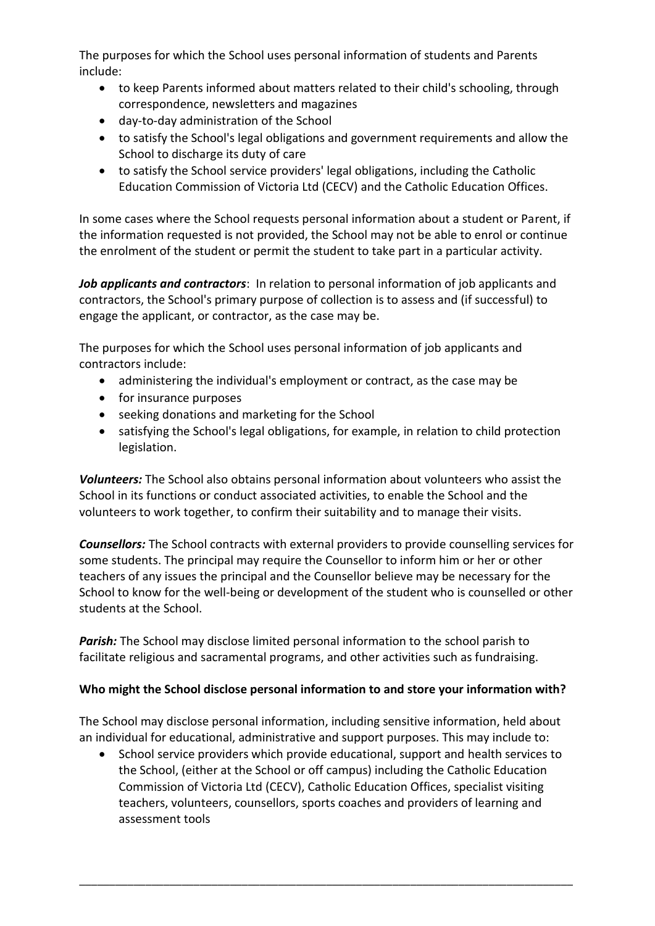The purposes for which the School uses personal information of students and Parents include:

- to keep Parents informed about matters related to their child's schooling, through correspondence, newsletters and magazines
- day-to-day administration of the School
- to satisfy the School's legal obligations and government requirements and allow the School to discharge its duty of care
- to satisfy the School service providers' legal obligations, including the Catholic Education Commission of Victoria Ltd (CECV) and the Catholic Education Offices.

In some cases where the School requests personal information about a student or Parent, if the information requested is not provided, the School may not be able to enrol or continue the enrolment of the student or permit the student to take part in a particular activity.

*Job applicants and contractors*: In relation to personal information of job applicants and contractors, the School's primary purpose of collection is to assess and (if successful) to engage the applicant, or contractor, as the case may be.

The purposes for which the School uses personal information of job applicants and contractors include:

- administering the individual's employment or contract, as the case may be
- for insurance purposes
- seeking donations and marketing for the School
- satisfying the School's legal obligations, for example, in relation to child protection legislation.

*Volunteers:* The School also obtains personal information about volunteers who assist the School in its functions or conduct associated activities, to enable the School and the volunteers to work together, to confirm their suitability and to manage their visits.

*Counsellors:* The School contracts with external providers to provide counselling services for some students. The principal may require the Counsellor to inform him or her or other teachers of any issues the principal and the Counsellor believe may be necessary for the School to know for the well-being or development of the student who is counselled or other students at the School.

**Parish:** The School may disclose limited personal information to the school parish to facilitate religious and sacramental programs, and other activities such as fundraising.

## **Who might the School disclose personal information to and store your information with?**

The School may disclose personal information, including sensitive information, held about an individual for educational, administrative and support purposes. This may include to:

School service providers which provide educational, support and health services to the School, (either at the School or off campus) including the Catholic Education Commission of Victoria Ltd (CECV), Catholic Education Offices, specialist visiting teachers, volunteers, counsellors, sports coaches and providers of learning and assessment tools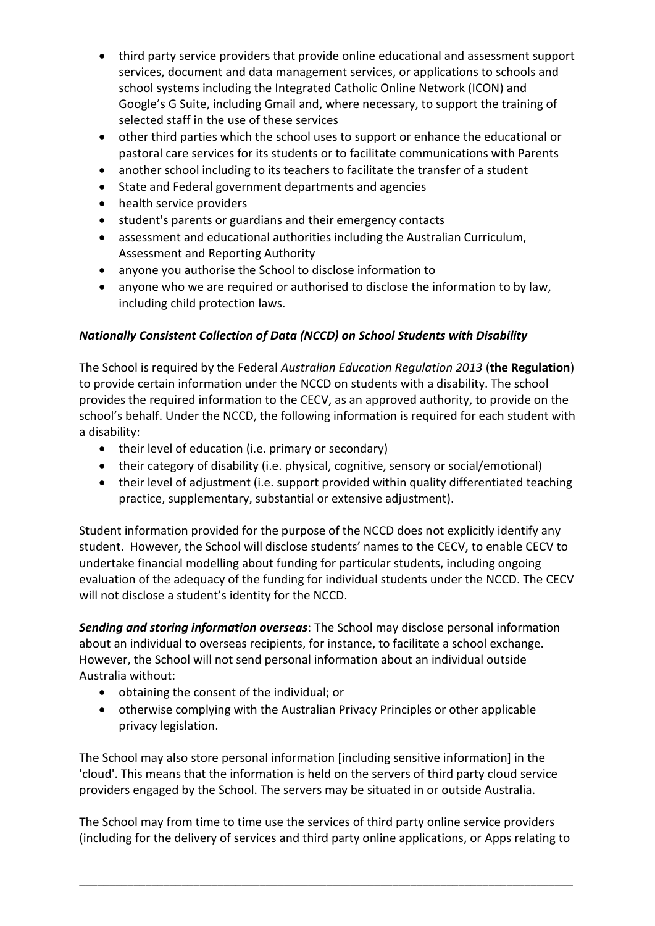- third party service providers that provide online educational and assessment support services, document and data management services, or applications to schools and school systems including the Integrated Catholic Online Network (ICON) and Google's G Suite, including Gmail and, where necessary, to support the training of selected staff in the use of these services
- other third parties which the school uses to support or enhance the educational or pastoral care services for its students or to facilitate communications with Parents
- another school including to its teachers to facilitate the transfer of a student
- State and Federal government departments and agencies
- health service providers
- student's parents or guardians and their emergency contacts
- assessment and educational authorities including the Australian Curriculum, Assessment and Reporting Authority
- anyone you authorise the School to disclose information to
- anyone who we are required or authorised to disclose the information to by law, including child protection laws.

## *Nationally Consistent Collection of Data (NCCD) on School Students with Disability*

The School is required by the Federal *Australian Education Regulation 2013* (**the Regulation**) to provide certain information under the NCCD on students with a disability. The school provides the required information to the CECV, as an approved authority, to provide on the school's behalf. Under the NCCD, the following information is required for each student with a disability:

- their level of education (i.e. primary or secondary)
- their category of disability (i.e. physical, cognitive, sensory or social/emotional)
- their level of adjustment (i.e. support provided within quality differentiated teaching practice, supplementary, substantial or extensive adjustment).

Student information provided for the purpose of the NCCD does not explicitly identify any student. However, the School will disclose students' names to the CECV, to enable CECV to undertake financial modelling about funding for particular students, including ongoing evaluation of the adequacy of the funding for individual students under the NCCD. The CECV will not disclose a student's identity for the NCCD.

*Sending and storing information overseas*: The School may disclose personal information about an individual to overseas recipients, for instance, to facilitate a school exchange. However, the School will not send personal information about an individual outside Australia without:

- obtaining the consent of the individual; or
- otherwise complying with the Australian Privacy Principles or other applicable privacy legislation.

The School may also store personal information [including sensitive information] in the 'cloud'. This means that the information is held on the servers of third party cloud service providers engaged by the School. The servers may be situated in or outside Australia.

The School may from time to time use the services of third party online service providers (including for the delivery of services and third party online applications, or Apps relating to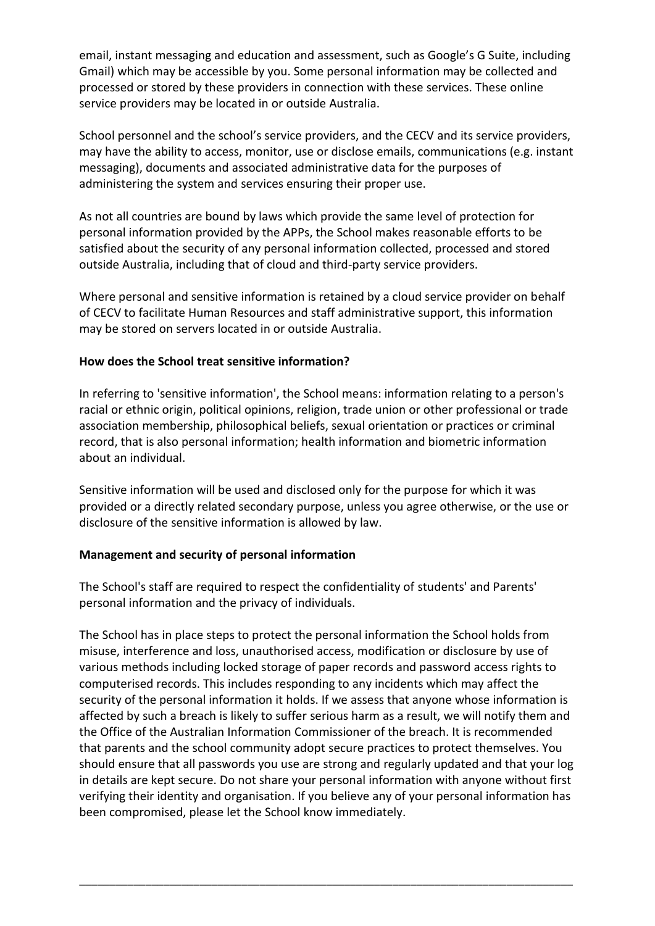email, instant messaging and education and assessment, such as Google's G Suite, including Gmail) which may be accessible by you. Some personal information may be collected and processed or stored by these providers in connection with these services. These online service providers may be located in or outside Australia.

School personnel and the school's service providers, and the CECV and its service providers, may have the ability to access, monitor, use or disclose emails, communications (e.g. instant messaging), documents and associated administrative data for the purposes of administering the system and services ensuring their proper use.

As not all countries are bound by laws which provide the same level of protection for personal information provided by the APPs, the School makes reasonable efforts to be satisfied about the security of any personal information collected, processed and stored outside Australia, including that of cloud and third-party service providers.

Where personal and sensitive information is retained by a cloud service provider on behalf of CECV to facilitate Human Resources and staff administrative support, this information may be stored on servers located in or outside Australia.

#### **How does the School treat sensitive information?**

In referring to 'sensitive information', the School means: information relating to a person's racial or ethnic origin, political opinions, religion, trade union or other professional or trade association membership, philosophical beliefs, sexual orientation or practices or criminal record, that is also personal information; health information and biometric information about an individual.

Sensitive information will be used and disclosed only for the purpose for which it was provided or a directly related secondary purpose, unless you agree otherwise, or the use or disclosure of the sensitive information is allowed by law.

#### **Management and security of personal information**

The School's staff are required to respect the confidentiality of students' and Parents' personal information and the privacy of individuals.

The School has in place steps to protect the personal information the School holds from misuse, interference and loss, unauthorised access, modification or disclosure by use of various methods including locked storage of paper records and password access rights to computerised records. This includes responding to any incidents which may affect the security of the personal information it holds. If we assess that anyone whose information is affected by such a breach is likely to suffer serious harm as a result, we will notify them and the Office of the Australian Information Commissioner of the breach. It is recommended that parents and the school community adopt secure practices to protect themselves. You should ensure that all passwords you use are strong and regularly updated and that your log in details are kept secure. Do not share your personal information with anyone without first verifying their identity and organisation. If you believe any of your personal information has been compromised, please let the School know immediately.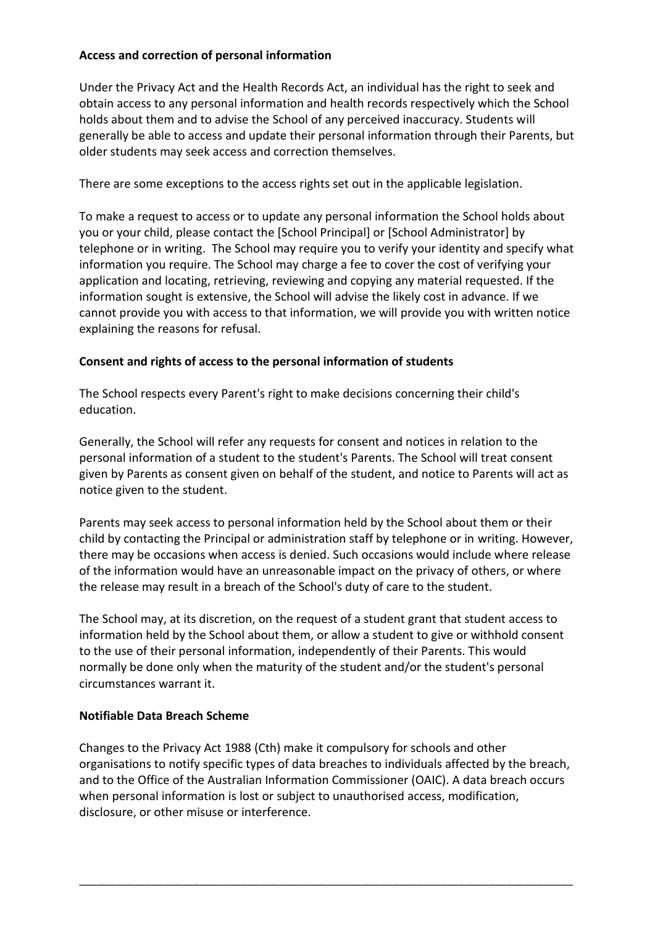#### **Access and correction of personal information**

Under the Privacy Act and the Health Records Act, an individual has the right to seek and obtain access to any personal information and health records respectively which the School holds about them and to advise the School of any perceived inaccuracy. Students will generally be able to access and update their personal information through their Parents, but older students may seek access and correction themselves.

There are some exceptions to the access rights set out in the applicable legislation.

To make a request to access or to update any personal information the School holds about you or your child, please contact the [School Principal] or [School Administrator] by telephone or in writing. The School may require you to verify your identity and specify what information you require. The School may charge a fee to cover the cost of verifying your application and locating, retrieving, reviewing and copying any material requested. If the information sought is extensive, the School will advise the likely cost in advance. If we cannot provide you with access to that information, we will provide you with written notice explaining the reasons for refusal.

#### **Consent and rights of access to the personal information of students**

The School respects every Parent's right to make decisions concerning their child's education.

Generally, the School will refer any requests for consent and notices in relation to the personal information of a student to the student's Parents. The School will treat consent given by Parents as consent given on behalf of the student, and notice to Parents will act as notice given to the student.

Parents may seek access to personal information held by the School about them or their child by contacting the Principal or administration staff by telephone or in writing. However, there may be occasions when access is denied. Such occasions would include where release of the information would have an unreasonable impact on the privacy of others, or where the release may result in a breach of the School's duty of care to the student.

The School may, at its discretion, on the request of a student grant that student access to information held by the School about them, or allow a student to give or withhold consent to the use of their personal information, independently of their Parents. This would normally be done only when the maturity of the student and/or the student's personal circumstances warrant it.

#### **Notifiable Data Breach Scheme**

Changes to the Privacy Act 1988 (Cth) make it compulsory for schools and other organisations to notify specific types of data breaches to individuals affected by the breach, and to the Office of the Australian Information Commissioner (OAIC). A data breach occurs when personal information is lost or subject to unauthorised access, modification, disclosure, or other misuse or interference.